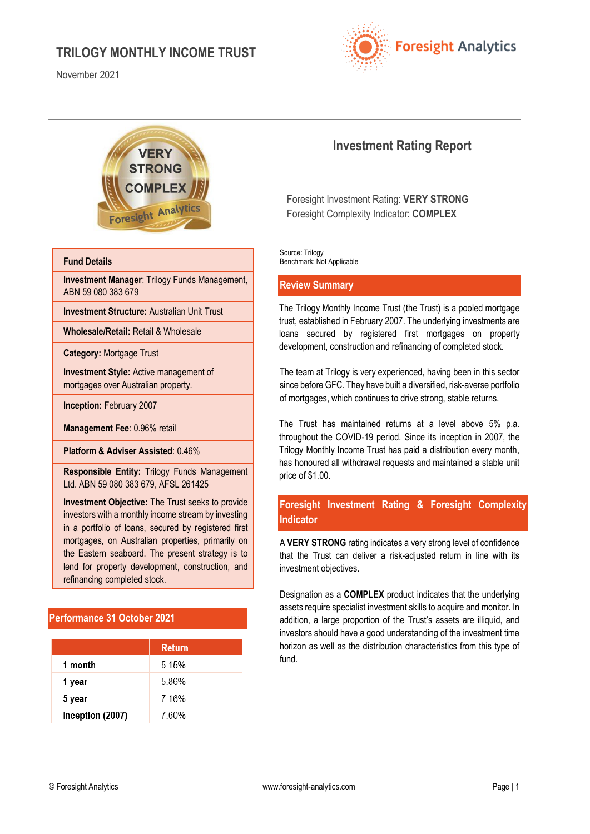November 2021





#### **Fund Details**

**Investment Manager**: Trilogy Funds Management, ABN 59 080 383 679

**Investment Structure:** Australian Unit Trust

**Wholesale/Retail:** Retail & Wholesale

**Category:** Mortgage Trust

**Investment Style:** Active management of mortgages over Australian property.

**Inception:** February 2007

**Management Fee**: 0.96% retail

**Platform & Adviser Assisted**: 0.46%

**Responsible Entity:** Trilogy Funds Management Ltd. ABN 59 080 383 679, AFSL 261425

**Investment Objective:** The Trust seeks to provide investors with a monthly income stream by investing in a portfolio of loans, secured by registered first mortgages, on Australian properties, primarily on the Eastern seaboard. The present strategy is to lend for property development, construction, and refinancing completed stock.

# **Performance 31 October 2021**

|                  | Return  |
|------------------|---------|
| 1 month          | 5 1 5 % |
| 1 year           | 586%    |
| 5 year           | 7.16%   |
| Inception (2007) | 760%    |

# **Investment Rating Report**

Foresight Investment Rating: **VERY STRONG** Foresight Complexity Indicator: **COMPLEX**

Source: Trilogy Benchmark: Not Applicable

#### **Review Summary**

The Trilogy Monthly Income Trust (the Trust) is a pooled mortgage trust, established in February 2007. The underlying investments are loans secured by registered first mortgages on property development, construction and refinancing of completed stock.

The team at Trilogy is very experienced, having been in this sector since before GFC. They have built a diversified, risk-averse portfolio of mortgages, which continues to drive strong, stable returns.

The Trust has maintained returns at a level above 5% p.a. throughout the COVID-19 period. Since its inception in 2007, the Trilogy Monthly Income Trust has paid a distribution every month, has honoured all withdrawal requests and maintained a stable unit price of \$1.00.

# **Foresight Investment Rating & Foresight Complexity Indicator**

A **VERY STRONG** rating indicates a very strong level of confidence that the Trust can deliver a risk-adjusted return in line with its investment objectives.

Designation as a **COMPLEX** product indicates that the underlying assets require specialist investment skills to acquire and monitor. In addition, a large proportion of the Trust's assets are illiquid, and investors should have a good understanding of the investment time horizon as well as the distribution characteristics from this type of fund.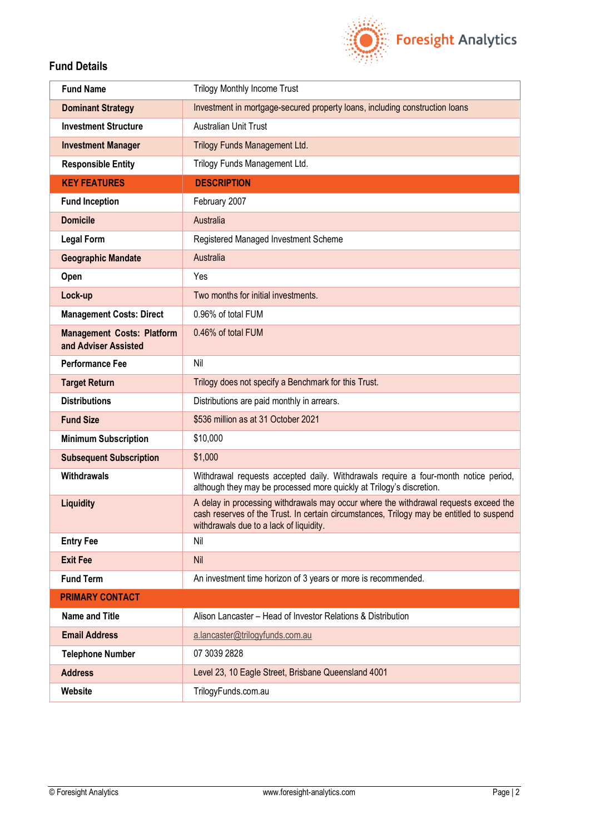

# **Fund Details**

| <b>Fund Name</b>                                          | <b>Trilogy Monthly Income Trust</b>                                                                                                                                                                                         |
|-----------------------------------------------------------|-----------------------------------------------------------------------------------------------------------------------------------------------------------------------------------------------------------------------------|
| <b>Dominant Strategy</b>                                  | Investment in mortgage-secured property loans, including construction loans                                                                                                                                                 |
| <b>Investment Structure</b>                               | Australian Unit Trust                                                                                                                                                                                                       |
| <b>Investment Manager</b>                                 | Trilogy Funds Management Ltd.                                                                                                                                                                                               |
| <b>Responsible Entity</b>                                 | Trilogy Funds Management Ltd.                                                                                                                                                                                               |
| <b>KEY FEATURES</b>                                       | <b>DESCRIPTION</b>                                                                                                                                                                                                          |
| <b>Fund Inception</b>                                     | February 2007                                                                                                                                                                                                               |
| <b>Domicile</b>                                           | Australia                                                                                                                                                                                                                   |
| <b>Legal Form</b>                                         | Registered Managed Investment Scheme                                                                                                                                                                                        |
| <b>Geographic Mandate</b>                                 | Australia                                                                                                                                                                                                                   |
| Open                                                      | Yes                                                                                                                                                                                                                         |
| Lock-up                                                   | Two months for initial investments.                                                                                                                                                                                         |
| <b>Management Costs: Direct</b>                           | 0.96% of total FUM                                                                                                                                                                                                          |
| <b>Management Costs: Platform</b><br>and Adviser Assisted | 0.46% of total FUM                                                                                                                                                                                                          |
| <b>Performance Fee</b>                                    | Nil                                                                                                                                                                                                                         |
| <b>Target Return</b>                                      | Trilogy does not specify a Benchmark for this Trust.                                                                                                                                                                        |
| <b>Distributions</b>                                      | Distributions are paid monthly in arrears.                                                                                                                                                                                  |
| <b>Fund Size</b>                                          | \$536 million as at 31 October 2021                                                                                                                                                                                         |
| <b>Minimum Subscription</b>                               | \$10,000                                                                                                                                                                                                                    |
| <b>Subsequent Subscription</b>                            | \$1,000                                                                                                                                                                                                                     |
| <b>Withdrawals</b>                                        | Withdrawal requests accepted daily. Withdrawals require a four-month notice period,<br>although they may be processed more quickly at Trilogy's discretion.                                                                 |
| <b>Liquidity</b>                                          | A delay in processing withdrawals may occur where the withdrawal requests exceed the<br>cash reserves of the Trust. In certain circumstances, Trilogy may be entitled to suspend<br>withdrawals due to a lack of liquidity. |
| <b>Entry Fee</b>                                          | Nil                                                                                                                                                                                                                         |
| <b>Exit Fee</b>                                           | Nil                                                                                                                                                                                                                         |
| <b>Fund Term</b>                                          | An investment time horizon of 3 years or more is recommended.                                                                                                                                                               |
| <b>PRIMARY CONTACT</b>                                    |                                                                                                                                                                                                                             |
| <b>Name and Title</b>                                     | Alison Lancaster - Head of Investor Relations & Distribution                                                                                                                                                                |
| <b>Email Address</b>                                      | a.lancaster@trilogyfunds.com.au                                                                                                                                                                                             |
| <b>Telephone Number</b>                                   | 07 3039 2828                                                                                                                                                                                                                |
| <b>Address</b>                                            | Level 23, 10 Eagle Street, Brisbane Queensland 4001                                                                                                                                                                         |
| Website                                                   | TrilogyFunds.com.au                                                                                                                                                                                                         |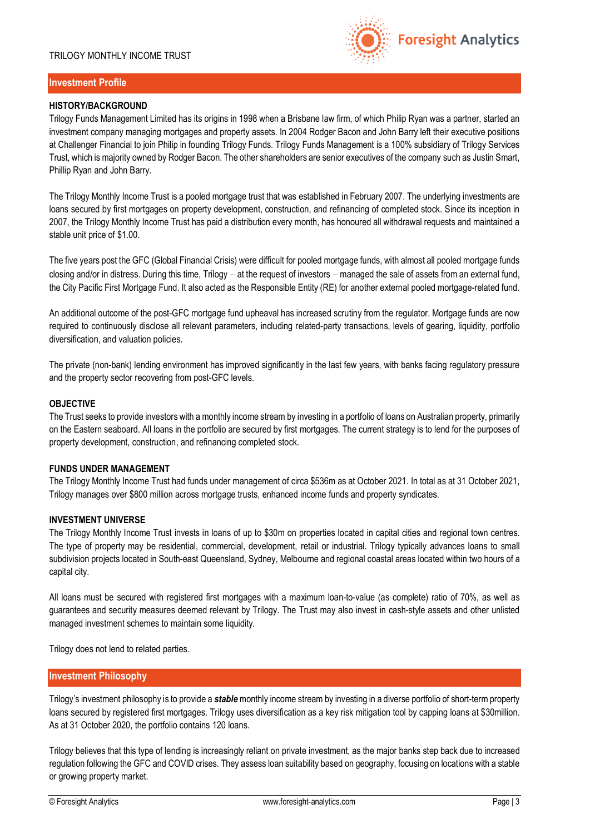

# **Investment Profile**

### **HISTORY/BACKGROUND**

Trilogy Funds Management Limited has its origins in 1998 when a Brisbane law firm, of which Philip Ryan was a partner, started an investment company managing mortgages and property assets. In 2004 Rodger Bacon and John Barry left their executive positions at Challenger Financial to join Philip in founding Trilogy Funds. Trilogy Funds Management is a 100% subsidiary of Trilogy Services Trust, which is majority owned by Rodger Bacon. The other shareholders are senior executives of the company such as Justin Smart, Phillip Ryan and John Barry.

The Trilogy Monthly Income Trust is a pooled mortgage trust that was established in February 2007. The underlying investments are loans secured by first mortgages on property development, construction, and refinancing of completed stock. Since its inception in 2007, the Trilogy Monthly Income Trust has paid a distribution every month, has honoured all withdrawal requests and maintained a stable unit price of \$1.00.

The five years post the GFC (Global Financial Crisis) were difficult for pooled mortgage funds, with almost all pooled mortgage funds closing and/or in distress. During this time, Trilogy – at the request of investors – managed the sale of assets from an external fund, the City Pacific First Mortgage Fund. It also acted as the Responsible Entity (RE) for another external pooled mortgage-related fund.

An additional outcome of the post-GFC mortgage fund upheaval has increased scrutiny from the regulator. Mortgage funds are now required to continuously disclose all relevant parameters, including related-party transactions, levels of gearing, liquidity, portfolio diversification, and valuation policies.

The private (non-bank) lending environment has improved significantly in the last few years, with banks facing regulatory pressure and the property sector recovering from post-GFC levels.

#### **OBJECTIVE**

The Trust seeks to provide investors with a monthly income stream by investing in a portfolio of loans on Australian property, primarily on the Eastern seaboard. All loans in the portfolio are secured by first mortgages. The current strategy is to lend for the purposes of property development, construction, and refinancing completed stock.

## **FUNDS UNDER MANAGEMENT**

The Trilogy Monthly Income Trust had funds under management of circa \$536m as at October 2021. In total as at 31 October 2021, Trilogy manages over \$800 million across mortgage trusts, enhanced income funds and property syndicates.

#### **INVESTMENT UNIVERSE**

The Trilogy Monthly Income Trust invests in loans of up to \$30m on properties located in capital cities and regional town centres. The type of property may be residential, commercial, development, retail or industrial. Trilogy typically advances loans to small subdivision projects located in South-east Queensland, Sydney, Melbourne and regional coastal areas located within two hours of a capital city.

All loans must be secured with registered first mortgages with a maximum loan-to-value (as complete) ratio of 70%, as well as guarantees and security measures deemed relevant by Trilogy. The Trust may also invest in cash-style assets and other unlisted managed investment schemes to maintain some liquidity.

Trilogy does not lend to related parties.

# **Investment Philosophy**

Trilogy's investment philosophy is to provide a *stable*monthly income stream by investing in a diverse portfolio of short-term property loans secured by registered first mortgages. Trilogy uses diversification as a key risk mitigation tool by capping loans at \$30million. As at 31 October 2020, the portfolio contains 120 loans.

Trilogy believes that this type of lending is increasingly reliant on private investment, as the major banks step back due to increased regulation following the GFC and COVID crises. They assess loan suitability based on geography, focusing on locations with a stable or growing property market.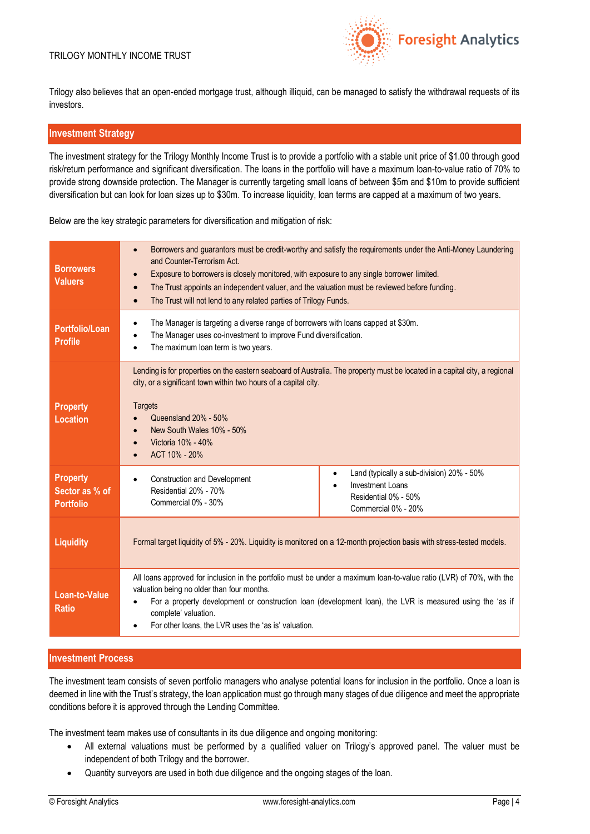

Trilogy also believes that an open-ended mortgage trust, although illiquid, can be managed to satisfy the withdrawal requests of its investors.

#### **Investment Strategy**

The investment strategy for the Trilogy Monthly Income Trust is to provide a portfolio with a stable unit price of \$1.00 through good risk/return performance and significant diversification. The loans in the portfolio will have a maximum loan-to-value ratio of 70% to provide strong downside protection. The Manager is currently targeting small loans of between \$5m and \$10m to provide sufficient diversification but can look for loan sizes up to \$30m. To increase liquidity, loan terms are capped at a maximum of two years.

Below are the key strategic parameters for diversification and mitigation of risk:

| <b>Borrowers</b><br><b>Valuers</b>                    | Borrowers and guarantors must be credit-worthy and satisfy the requirements under the Anti-Money Laundering<br>$\bullet$<br>and Counter-Terrorism Act.<br>Exposure to borrowers is closely monitored, with exposure to any single borrower limited.<br>The Trust appoints an independent valuer, and the valuation must be reviewed before funding.<br>The Trust will not lend to any related parties of Trilogy Funds.<br>$\bullet$ |  |
|-------------------------------------------------------|--------------------------------------------------------------------------------------------------------------------------------------------------------------------------------------------------------------------------------------------------------------------------------------------------------------------------------------------------------------------------------------------------------------------------------------|--|
| <b>Portfolio/Loan</b><br><b>Profile</b>               | The Manager is targeting a diverse range of borrowers with loans capped at \$30m.<br>$\bullet$<br>The Manager uses co-investment to improve Fund diversification.<br>The maximum loan term is two years.                                                                                                                                                                                                                             |  |
| <b>Property</b><br><b>Location</b>                    | Lending is for properties on the eastern seaboard of Australia. The property must be located in a capital city, a regional<br>city, or a significant town within two hours of a capital city.<br><b>Targets</b><br>Queensland 20% - 50%<br>New South Wales 10% - 50%<br>Victoria 10% - 40%<br>ACT 10% - 20%                                                                                                                          |  |
| <b>Property</b><br>Sector as % of<br><b>Portfolio</b> | Land (typically a sub-division) 20% - 50%<br>$\bullet$<br><b>Construction and Development</b><br>$\bullet$<br><b>Investment Loans</b><br>Residential 20% - 70%<br>Residential 0% - 50%<br>Commercial 0% - 30%<br>Commercial 0% - 20%                                                                                                                                                                                                 |  |
| <b>Liquidity</b>                                      | Formal target liquidity of 5% - 20%. Liquidity is monitored on a 12-month projection basis with stress-tested models.                                                                                                                                                                                                                                                                                                                |  |
| <b>Loan-to-Value</b><br><b>Ratio</b>                  | All loans approved for inclusion in the portfolio must be under a maximum loan-to-value ratio (LVR) of 70%, with the<br>valuation being no older than four months.<br>For a property development or construction loan (development loan), the LVR is measured using the 'as if<br>complete' valuation.<br>For other loans, the LVR uses the 'as is' valuation.                                                                       |  |

# **Investment Process**

The investment team consists of seven portfolio managers who analyse potential loans for inclusion in the portfolio. Once a loan is deemed in line with the Trust's strategy, the loan application must go through many stages of due diligence and meet the appropriate conditions before it is approved through the Lending Committee.

The investment team makes use of consultants in its due diligence and ongoing monitoring:

- All external valuations must be performed by a qualified valuer on Trilogy's approved panel. The valuer must be independent of both Trilogy and the borrower.
- Quantity surveyors are used in both due diligence and the ongoing stages of the loan.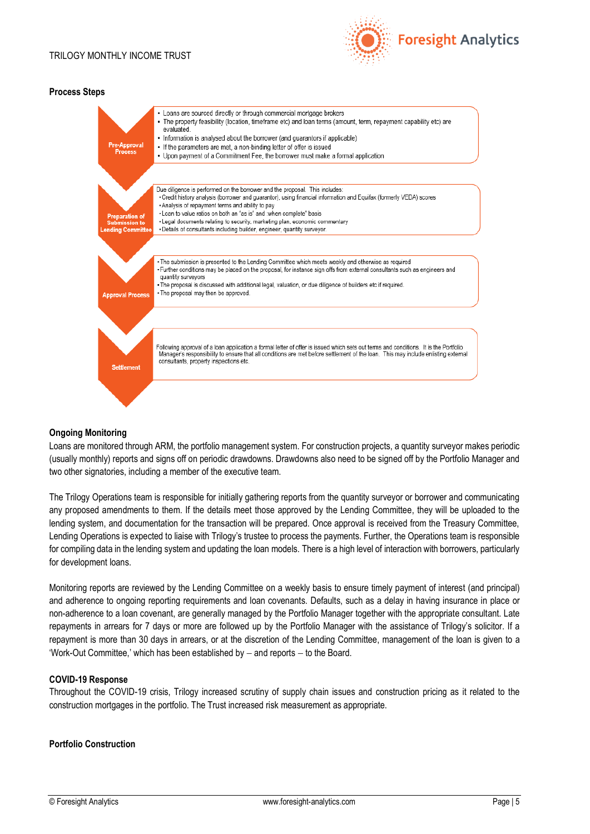

#### **Process Steps**



#### **Ongoing Monitoring**

Loans are monitored through ARM, the portfolio management system. For construction projects, a quantity surveyor makes periodic (usually monthly) reports and signs off on periodic drawdowns. Drawdowns also need to be signed off by the Portfolio Manager and two other signatories, including a member of the executive team.

The Trilogy Operations team is responsible for initially gathering reports from the quantity surveyor or borrower and communicating any proposed amendments to them. If the details meet those approved by the Lending Committee, they will be uploaded to the lending system, and documentation for the transaction will be prepared. Once approval is received from the Treasury Committee, Lending Operations is expected to liaise with Trilogy's trustee to process the payments. Further, the Operations team is responsible for compiling data in the lending system and updating the loan models. There is a high level of interaction with borrowers, particularly for development loans.

Monitoring reports are reviewed by the Lending Committee on a weekly basis to ensure timely payment of interest (and principal) and adherence to ongoing reporting requirements and loan covenants. Defaults, such as a delay in having insurance in place or non-adherence to a loan covenant, are generally managed by the Portfolio Manager together with the appropriate consultant. Late repayments in arrears for 7 days or more are followed up by the Portfolio Manager with the assistance of Trilogy's solicitor. If a repayment is more than 30 days in arrears, or at the discretion of the Lending Committee, management of the loan is given to a 'Work-Out Committee,' which has been established by − and reports − to the Board.

#### **COVID-19 Response**

Throughout the COVID-19 crisis, Trilogy increased scrutiny of supply chain issues and construction pricing as it related to the construction mortgages in the portfolio. The Trust increased risk measurement as appropriate.

# **Portfolio Construction**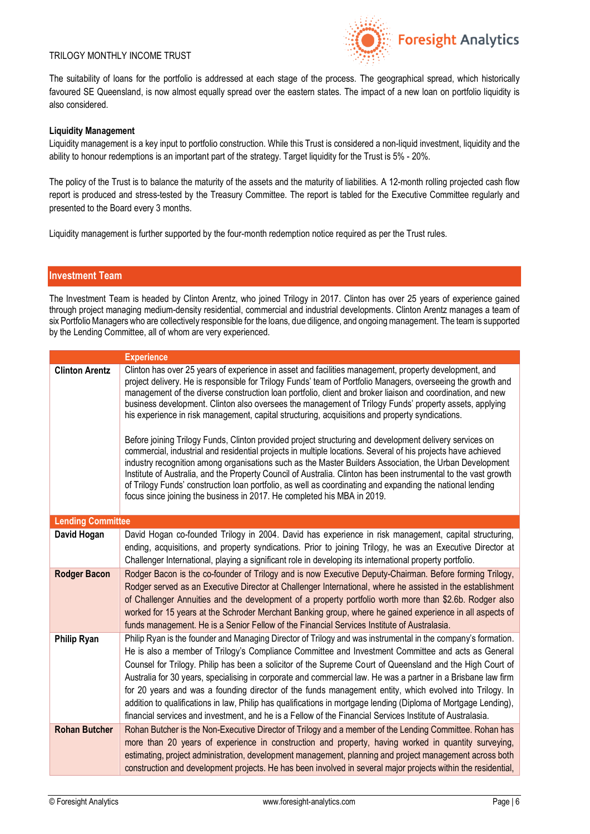

The suitability of loans for the portfolio is addressed at each stage of the process. The geographical spread, which historically favoured SE Queensland, is now almost equally spread over the eastern states. The impact of a new loan on portfolio liquidity is also considered.

#### **Liquidity Management**

Liquidity management is a key input to portfolio construction. While this Trust is considered a non-liquid investment, liquidity and the ability to honour redemptions is an important part of the strategy. Target liquidity for the Trust is 5% - 20%.

The policy of the Trust is to balance the maturity of the assets and the maturity of liabilities. A 12-month rolling projected cash flow report is produced and stress-tested by the Treasury Committee. The report is tabled for the Executive Committee regularly and presented to the Board every 3 months.

Liquidity management is further supported by the four-month redemption notice required as per the Trust rules.

#### **Investment Team**

The Investment Team is headed by Clinton Arentz, who joined Trilogy in 2017. Clinton has over 25 years of experience gained through project managing medium-density residential, commercial and industrial developments. Clinton Arentz manages a team of six Portfolio Managers who are collectively responsible for the loans, due diligence, and ongoing management. The team is supported by the Lending Committee, all of whom are very experienced.

|                          | <b>Experience</b>                                                                                                                                                                                                                                                                                                                                                                                                                                                                                                                                                                                                                                                                                                                                                                                                                                                                                                                                                                                                                                                                                                                                                                                 |
|--------------------------|---------------------------------------------------------------------------------------------------------------------------------------------------------------------------------------------------------------------------------------------------------------------------------------------------------------------------------------------------------------------------------------------------------------------------------------------------------------------------------------------------------------------------------------------------------------------------------------------------------------------------------------------------------------------------------------------------------------------------------------------------------------------------------------------------------------------------------------------------------------------------------------------------------------------------------------------------------------------------------------------------------------------------------------------------------------------------------------------------------------------------------------------------------------------------------------------------|
| <b>Clinton Arentz</b>    | Clinton has over 25 years of experience in asset and facilities management, property development, and<br>project delivery. He is responsible for Trilogy Funds' team of Portfolio Managers, overseeing the growth and<br>management of the diverse construction loan portfolio, client and broker liaison and coordination, and new<br>business development. Clinton also oversees the management of Trilogy Funds' property assets, applying<br>his experience in risk management, capital structuring, acquisitions and property syndications.<br>Before joining Trilogy Funds, Clinton provided project structuring and development delivery services on<br>commercial, industrial and residential projects in multiple locations. Several of his projects have achieved<br>industry recognition among organisations such as the Master Builders Association, the Urban Development<br>Institute of Australia, and the Property Council of Australia. Clinton has been instrumental to the vast growth<br>of Trilogy Funds' construction loan portfolio, as well as coordinating and expanding the national lending<br>focus since joining the business in 2017. He completed his MBA in 2019. |
| <b>Lending Committee</b> |                                                                                                                                                                                                                                                                                                                                                                                                                                                                                                                                                                                                                                                                                                                                                                                                                                                                                                                                                                                                                                                                                                                                                                                                   |
| David Hogan              | David Hogan co-founded Trilogy in 2004. David has experience in risk management, capital structuring,<br>ending, acquisitions, and property syndications. Prior to joining Trilogy, he was an Executive Director at<br>Challenger International, playing a significant role in developing its international property portfolio.                                                                                                                                                                                                                                                                                                                                                                                                                                                                                                                                                                                                                                                                                                                                                                                                                                                                   |
| <b>Rodger Bacon</b>      | Rodger Bacon is the co-founder of Trilogy and is now Executive Deputy-Chairman. Before forming Trilogy,<br>Rodger served as an Executive Director at Challenger International, where he assisted in the establishment<br>of Challenger Annuities and the development of a property portfolio worth more than \$2.6b. Rodger also<br>worked for 15 years at the Schroder Merchant Banking group, where he gained experience in all aspects of<br>funds management. He is a Senior Fellow of the Financial Services Institute of Australasia.                                                                                                                                                                                                                                                                                                                                                                                                                                                                                                                                                                                                                                                       |
| <b>Philip Ryan</b>       | Philip Ryan is the founder and Managing Director of Trilogy and was instrumental in the company's formation.<br>He is also a member of Trilogy's Compliance Committee and Investment Committee and acts as General<br>Counsel for Trilogy. Philip has been a solicitor of the Supreme Court of Queensland and the High Court of<br>Australia for 30 years, specialising in corporate and commercial law. He was a partner in a Brisbane law firm<br>for 20 years and was a founding director of the funds management entity, which evolved into Trilogy. In<br>addition to qualifications in law, Philip has qualifications in mortgage lending (Diploma of Mortgage Lending),<br>financial services and investment, and he is a Fellow of the Financial Services Institute of Australasia.                                                                                                                                                                                                                                                                                                                                                                                                       |
| <b>Rohan Butcher</b>     | Rohan Butcher is the Non-Executive Director of Trilogy and a member of the Lending Committee. Rohan has<br>more than 20 years of experience in construction and property, having worked in quantity surveying,<br>estimating, project administration, development management, planning and project management across both<br>construction and development projects. He has been involved in several major projects within the residential,                                                                                                                                                                                                                                                                                                                                                                                                                                                                                                                                                                                                                                                                                                                                                        |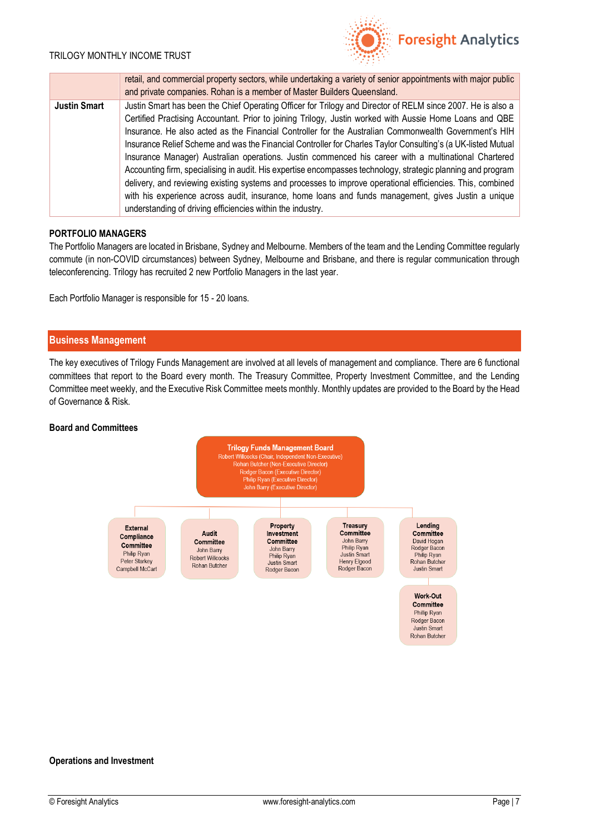

|                     | retail, and commercial property sectors, while undertaking a variety of senior appointments with major public<br>and private companies. Rohan is a member of Master Builders Queensland.                                                                                                                                                                                                                                                                                                                                                                                                                                                                                                                                                                                                                                                                                                                                                                   |
|---------------------|------------------------------------------------------------------------------------------------------------------------------------------------------------------------------------------------------------------------------------------------------------------------------------------------------------------------------------------------------------------------------------------------------------------------------------------------------------------------------------------------------------------------------------------------------------------------------------------------------------------------------------------------------------------------------------------------------------------------------------------------------------------------------------------------------------------------------------------------------------------------------------------------------------------------------------------------------------|
| <b>Justin Smart</b> | Justin Smart has been the Chief Operating Officer for Trilogy and Director of RELM since 2007. He is also a<br>Certified Practising Accountant. Prior to joining Trilogy, Justin worked with Aussie Home Loans and QBE<br>Insurance. He also acted as the Financial Controller for the Australian Commonwealth Government's HIH<br>Insurance Relief Scheme and was the Financial Controller for Charles Taylor Consulting's (a UK-listed Mutual<br>Insurance Manager) Australian operations. Justin commenced his career with a multinational Chartered<br>Accounting firm, specialising in audit. His expertise encompasses technology, strategic planning and program<br>delivery, and reviewing existing systems and processes to improve operational efficiencies. This, combined<br>with his experience across audit, insurance, home loans and funds management, gives Justin a unique<br>understanding of driving efficiencies within the industry. |

#### **PORTFOLIO MANAGERS**

The Portfolio Managers are located in Brisbane, Sydney and Melbourne. Members of the team and the Lending Committee regularly commute (in non-COVID circumstances) between Sydney, Melbourne and Brisbane, and there is regular communication through teleconferencing. Trilogy has recruited 2 new Portfolio Managers in the last year.

Each Portfolio Manager is responsible for 15 - 20 loans.

#### **Business Management**

The key executives of Trilogy Funds Management are involved at all levels of management and compliance. There are 6 functional committees that report to the Board every month. The Treasury Committee, Property Investment Committee, and the Lending Committee meet weekly, and the Executive Risk Committee meets monthly. Monthly updates are provided to the Board by the Head of Governance & Risk.

#### **Board and Committees**



#### **Operations and Investment**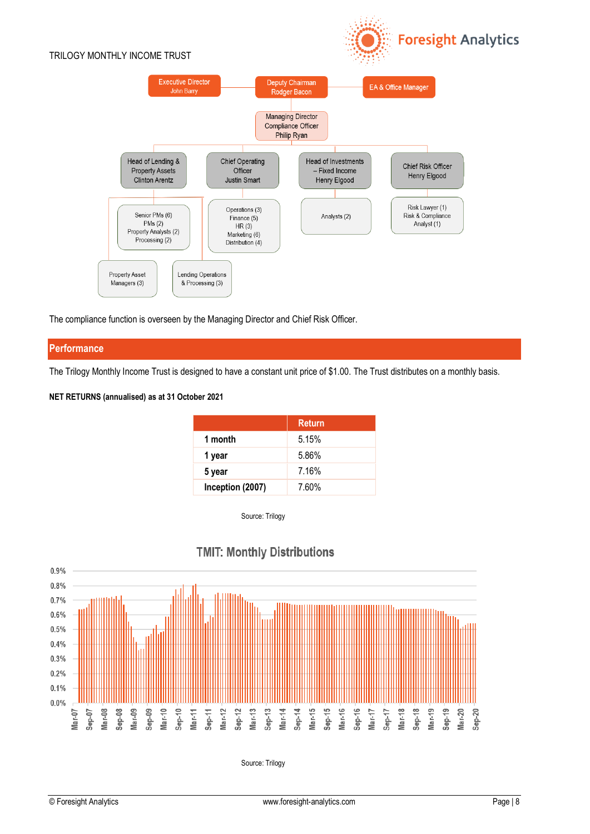

**Foresight Analytics** 

The compliance function is overseen by the Managing Director and Chief Risk Officer.

# **Performance**

The Trilogy Monthly Income Trust is designed to have a constant unit price of \$1.00. The Trust distributes on a monthly basis.

#### **NET RETURNS (annualised) as at 31 October 2021**

|                  | <b>Return</b> |
|------------------|---------------|
| 1 month          | 5.15%         |
| 1 year           | 5.86%         |
| 5 year           | 7.16%         |
| Inception (2007) | 7.60%         |

Source: Trilogy



# **TMIT: Monthly Distributions**

Source: Trilogy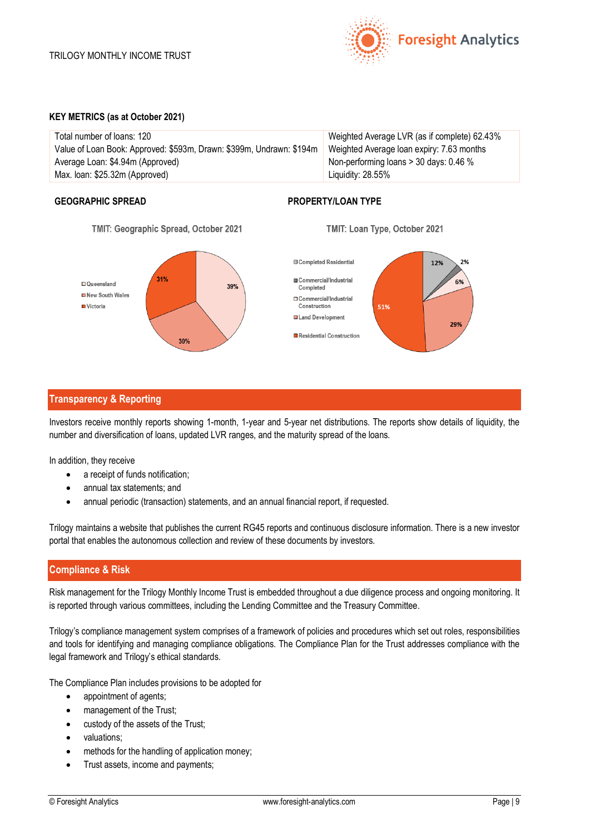

#### **KEY METRICS (as at October 2021)**

| Total number of loans: 120                                           | Weighted Average LVR (as if complete) 62.43% |
|----------------------------------------------------------------------|----------------------------------------------|
| Value of Loan Book: Approved: \$593m, Drawn: \$399m, Undrawn: \$194m | Weighted Average Ioan expiry: 7.63 months    |
| Average Loan: \$4.94m (Approved)                                     | Non-performing loans $>$ 30 days: 0.46 %     |
| Max. Ioan: \$25.32m (Approved)                                       | Liquidity: 28.55%                            |

# **GEOGRAPHIC SPREAD PROPERTY/LOAN TYPE**







# **Transparency & Reporting**

Investors receive monthly reports showing 1-month, 1-year and 5-year net distributions. The reports show details of liquidity, the number and diversification of loans, updated LVR ranges, and the maturity spread of the loans.

In addition, they receive

- a receipt of funds notification:
- annual tax statements; and
- annual periodic (transaction) statements, and an annual financial report, if requested.

Trilogy maintains a website that publishes the current RG45 reports and continuous disclosure information. There is a new investor portal that enables the autonomous collection and review of these documents by investors.

# **Compliance & Risk**

Risk management for the Trilogy Monthly Income Trust is embedded throughout a due diligence process and ongoing monitoring. It is reported through various committees, including the Lending Committee and the Treasury Committee.

Trilogy's compliance management system comprises of a framework of policies and procedures which set out roles, responsibilities and tools for identifying and managing compliance obligations. The Compliance Plan for the Trust addresses compliance with the legal framework and Trilogy's ethical standards.

The Compliance Plan includes provisions to be adopted for

- appointment of agents;
- management of the Trust;
- custody of the assets of the Trust;
- valuations;
- methods for the handling of application money;
- Trust assets, income and payments;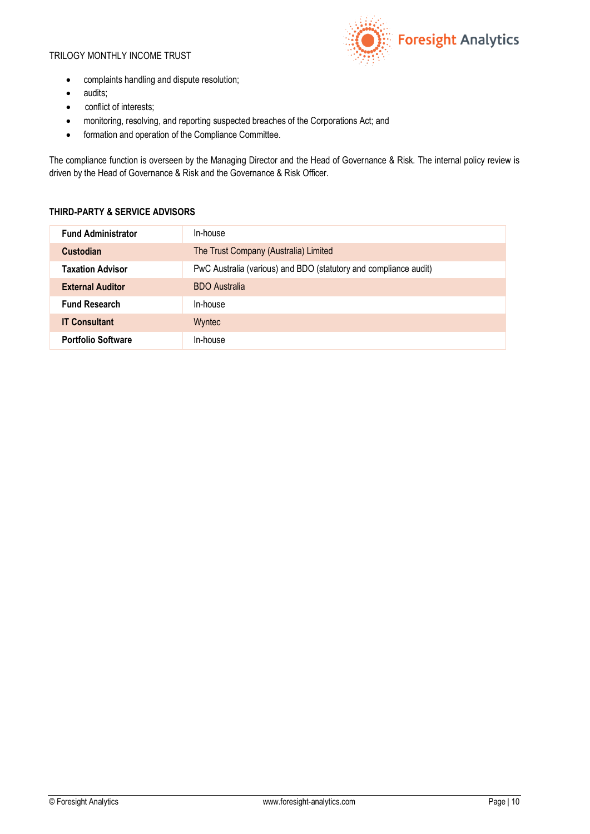

- complaints handling and dispute resolution;
- audits;
- conflict of interests;
- monitoring, resolving, and reporting suspected breaches of the Corporations Act; and
- formation and operation of the Compliance Committee.

The compliance function is overseen by the Managing Director and the Head of Governance & Risk. The internal policy review is driven by the Head of Governance & Risk and the Governance & Risk Officer.

# **THIRD-PARTY & SERVICE ADVISORS**

| <b>Fund Administrator</b> | In-house                                                         |
|---------------------------|------------------------------------------------------------------|
| <b>Custodian</b>          | The Trust Company (Australia) Limited                            |
| <b>Taxation Advisor</b>   | PwC Australia (various) and BDO (statutory and compliance audit) |
| <b>External Auditor</b>   | <b>BDO</b> Australia                                             |
| <b>Fund Research</b>      | In-house                                                         |
| <b>IT Consultant</b>      | Wyntec                                                           |
| <b>Portfolio Software</b> | In-house                                                         |